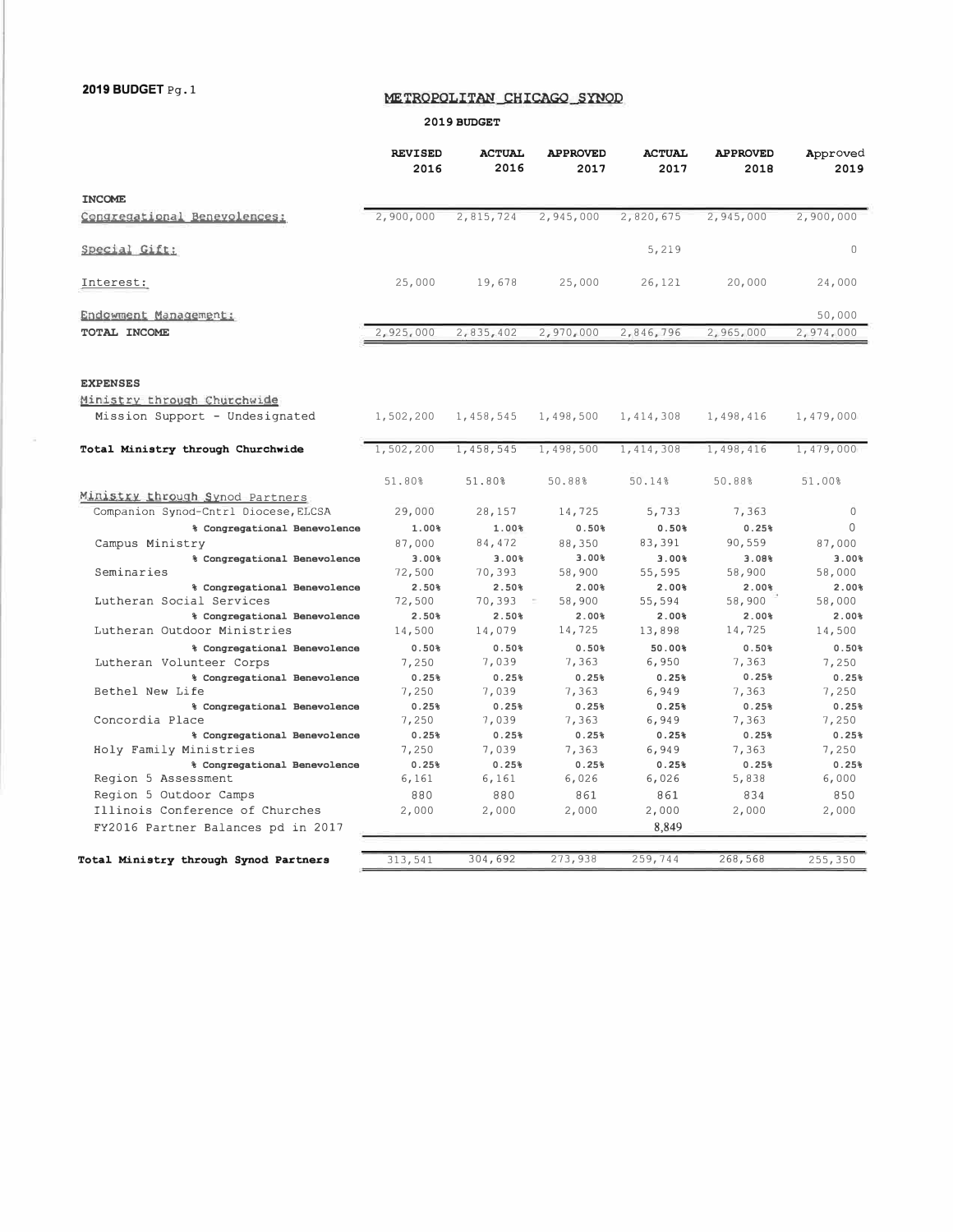### **METROPOLITAN CHICAGO SYNOD**

#### **2019 BUDGET**

|                                                                         | <b>REVISED</b><br>2016 | <b>ACTUAL</b><br>2016 | <b>APPROVED</b><br>2017 | <b>ACTUAL</b><br>2017 | <b>APPROVED</b><br>2018 | Approved<br>2019 |
|-------------------------------------------------------------------------|------------------------|-----------------------|-------------------------|-----------------------|-------------------------|------------------|
| <b>INCOME</b>                                                           |                        |                       |                         |                       |                         |                  |
| Congregational Benevolences:                                            | 2,900,000              | 2,815,724             | 2,945,000               | 2,820,675             | 2,945,000               | 2,900,000        |
| Special Gift:                                                           |                        |                       |                         | 5,219                 |                         | $\cup$           |
| Interest:                                                               | 25,000                 | 19,678                | 25,000                  | 26,121                | 20,000                  | 24,000           |
| Endowment Management:                                                   |                        |                       |                         |                       |                         | 50,000           |
| TOTAL INCOME                                                            | 2,925,000              | 2,835,402             | 2,970,000               | 2,846,796             | 2,965,000               | 2,974,000        |
| <b>EXPENSES</b>                                                         |                        |                       |                         |                       |                         |                  |
| Ministry through Churchwide<br>Mission Support - Undesignated           | 1,502,200              | 1,458,545             | 1,498,500               | 1,414,308             | 1,498,416               | 1,479,000        |
| Total Ministry through Churchwide                                       | 1,502,200              | 1,458,545             | 1,498,500               | 1,414,308             | 1,498,416               | 1,479,000        |
|                                                                         | 51.80%                 | 51.80%                | 50.88%                  | 50.14%                | 50.88%                  | 51.00%           |
| Ministry through Synod Partners<br>Companion Synod-Cntrl Diocese, ELCSA | 29,000                 | 28,157                | 14,725                  | 5,733                 | 7,363                   | $\circ$          |
| % Congregational Benevolence                                            | 1.00%                  | 1.00%                 | 0.50%                   | 0.50%                 | 0.25%                   | $\mathbf{0}$     |
| Campus Ministry                                                         | 87,000                 | 84,472                | 88,350                  | 83,391                | 90,559                  | 87,000           |
| % Congregational Benevolence                                            | 800. E                 | 800. E                | 3.00%                   | 3.00%                 | 3.08%                   | 800. E           |
| Seminaries                                                              | 72,500                 | 70,393                | 58,900                  | 55,595                | 58,900                  | 58,000           |
| % Congregational Benevolence                                            | $2.50*$                | 2.50%                 | 2.00%                   | 2.00%                 | 2.00%                   | 2.00%            |
| Lutheran Social Services                                                | 72,500                 | 70,393                | 58,900                  | 55,594                | 58,900                  | 58,000           |
| % Congregational Benevolence                                            | 2.50%                  | 2.50%                 | 2.00%                   | 2.00%                 | 2.00%                   | 2.00%            |
| Lutheran Outdoor Ministries                                             | 14,500                 | 14,079                | 14,725                  | 13,898                | 14,725                  | 14,500           |
| % Congregational Benevolence                                            | 0.50%                  | 0.50%                 | 0.50%                   | 50.00%                | 0.50%                   | 0.50%            |
| Lutheran Volunteer Corps                                                | 7,250                  | 7,039                 | 7,363                   | 6,950                 | 7,363                   | 7,250            |
| % Congregational Benevolence<br>Bethel New Life                         | 0.25%<br>7,250         | 0.25%<br>7,039        | 0.25%<br>7,363          | 0.25%<br>6,949        | 0.25%<br>7,363          | 0.25%<br>7,250   |
| % Congregational Benevolence                                            | 0.25%                  | 0.25%                 | 0.25%                   | 0.25%                 | 0.25%                   | 0.25%            |
| Concordia Place                                                         | 7,250                  | 7,039                 | 7,363                   | 6,949                 | 7,363                   | 7,250            |
| % Congregational Benevolence                                            | 0.25%                  | 0.25%                 | 0.25%                   | 0.25%                 | 0.25%                   | 0.25%            |
| Holy Family Ministries                                                  | 7,250                  | 7,039                 | 7,363                   | 6,949                 | 7,363                   | 7,250            |
| % Congregational Benevolence                                            | 0.25%                  | 0.25%                 | 0.25%                   | 0.25%                 | 0.25%                   | 0.25%            |
| Region 5 Assessment                                                     | 6,161                  | 6,161                 | 6,026                   | 6,026                 | 5,838                   | 6,000            |
| Region 5 Outdoor Camps                                                  | 880                    | 880                   | 861                     | 861                   | 834                     | 850              |
| Illinois Conference of Churches                                         | 2,000                  | 2,000                 | 2,000                   | 2,000                 | 2,000                   | 2,000            |
| FY2016 Partner Balances pd in 2017                                      |                        |                       |                         | 8,849                 |                         |                  |
|                                                                         |                        |                       |                         |                       |                         |                  |
| Total Ministry through Synod Partners                                   | 313,541                | 304,692               | 273,938                 | 259,744               | 268,568                 | 255,350          |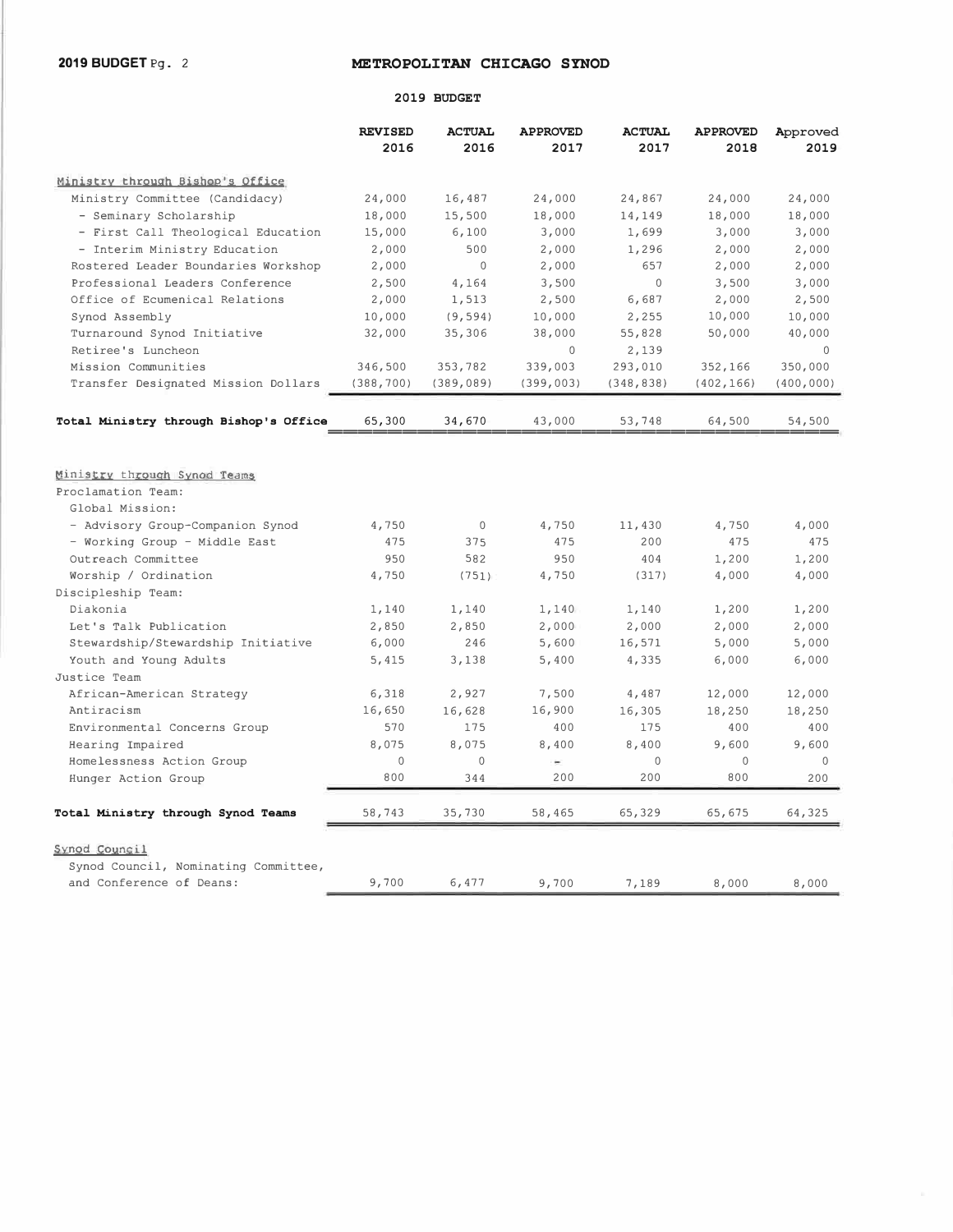### **METROPOLITAN CHICAGO SYNOD**

#### **2019 BUDGET**

|                                                  | <b>REVISED</b><br>2016 | <b>ACTUAL</b><br>2016 | <b>APPROVED</b><br>2017 | <b>ACTUAL</b><br>2017 | <b>APPROVED</b><br>2018 | Approved<br>2019   |
|--------------------------------------------------|------------------------|-----------------------|-------------------------|-----------------------|-------------------------|--------------------|
| Ministry through Bishop's Office                 |                        |                       |                         |                       |                         |                    |
| Ministry Committee (Candidacy)                   | 24,000                 | 16,487                | 24,000                  | 24,867                | 24,000                  | 24,000             |
| - Seminary Scholarship                           | 18,000                 | 15,500                | 18,000                  | 14,149                | 18,000                  | 18,000             |
| - First Call Theological Education               | 15,000                 | 6,100                 | 3,000                   | 1,699                 | 3,000                   | 3,000              |
| - Interim Ministry Education                     | 2,000                  | 500                   | 2,000                   | 1,296                 | 2,000                   | 2,000              |
| Rostered Leader Boundaries Workshop              | 2,000                  | $\mathbf 0$           | 2,000                   | 657                   | 2,000                   | 2,000              |
| Professional Leaders Conference                  | 2,500                  | 4,164                 | 3,500                   | $\Omega$              | 3,500                   | 3,000              |
| Office of Ecumenical Relations                   | 2,000                  | 1,513                 | 2,500                   | 6,687                 | 2,000                   | 2,500              |
| Synod Assembly                                   | 10,000                 | (9, 594)              | 10,000                  | 2,255                 | 10,000                  | 10,000             |
| Turnaround Synod Initiative                      | 32,000                 | 35,306                | 38,000                  | 55,828                | 50,000                  | 40,000             |
| Retiree's Luncheon                               |                        |                       | $\mathbf{0}$            | 2,139                 |                         | $\mathbf{0}$       |
| Mission Communities                              | 346,500                | 353,782               | 339,003                 | 293,010               | 352,166                 | 350,000            |
| Transfer Designated Mission Dollars              | (388, 700)             | (389, 089)            | (399, 003)              | (348, 838)            | (402, 166)              | (400, 000)         |
| Total Ministry through Bishop's Office           | 65,300                 | 34,670                | 43,000                  | 53,748                | 64,500                  | 54,500             |
| Ministry through Synod Teams                     |                        |                       |                         |                       |                         |                    |
| Proclamation Team:                               |                        |                       |                         |                       |                         |                    |
| Global Mission:                                  |                        |                       |                         |                       |                         |                    |
| - Advisory Group-Companion Synod                 | 4,750                  | $\mathbf 0$           | 4,750                   | 11,430                | 4,750                   | 4,000              |
| - Working Group - Middle East                    | 475                    | 375                   | 475                     | 200                   | 475                     | 475                |
| Outreach Committee                               | 950                    | 582                   | 950                     | 404                   | 1,200                   | 1,200              |
| Worship / Ordination                             | 4,750                  | (751)                 | 4,750                   | (317)                 | 4,000                   | 4,000              |
| Discipleship Team:                               |                        |                       |                         |                       |                         |                    |
| Diakonia                                         | 1,140                  | 1,140                 | 1,140                   | 1,140                 | 1,200                   | 1,200              |
| Let's Talk Publication                           | 2,850                  | 2,850                 | 2,000                   | 2,000                 | 2,000                   | 2,000              |
| Stewardship/Stewardship Initiative               | 6,000                  | 246                   | 5,600                   | 16,571                | 5,000                   | 5,000              |
| Youth and Young Adults                           | 5,415                  | 3,138                 | 5,400                   | 4,335                 | 6,000                   | 6,000              |
| Justice Team                                     |                        |                       |                         |                       |                         |                    |
| African-American Strategy                        | 6,318                  | 2,927                 | 7,500                   | 4,487                 | 12,000                  | 12,000             |
| Antiracism                                       | 16,650                 | 16,628                | 16,900                  | 16,305                | 18,250                  | 18,250             |
| Environmental Concerns Group                     | 570                    | 175                   | 400                     | 175                   | 400                     | 400                |
| Hearing Impaired                                 | 8,075                  | 8,075<br>$\mathbf 0$  | 8,400<br>$\sim$         | 8,400                 | 9,600                   | 9,600              |
| Homelessness Action Group<br>Hunger Action Group | $\mathbf 0$<br>800     | 344                   | 200                     | $\mathbf 0$<br>200    | $\mathbf 0$<br>800      | $\mathbf 0$<br>200 |
|                                                  |                        |                       |                         |                       |                         |                    |
| Total Ministry through Synod Teams               | 58,743                 | 35,730                | 58,465                  | 65,329                | 65,675                  | 64,325             |
| Synod Council                                    |                        |                       |                         |                       |                         |                    |
| Synod Council, Nominating Committee,             |                        |                       |                         |                       |                         |                    |
| and Conference of Deans:                         | 9,700                  | 6,477                 | 9,700                   | 7,189                 | 8,000                   | 8,000              |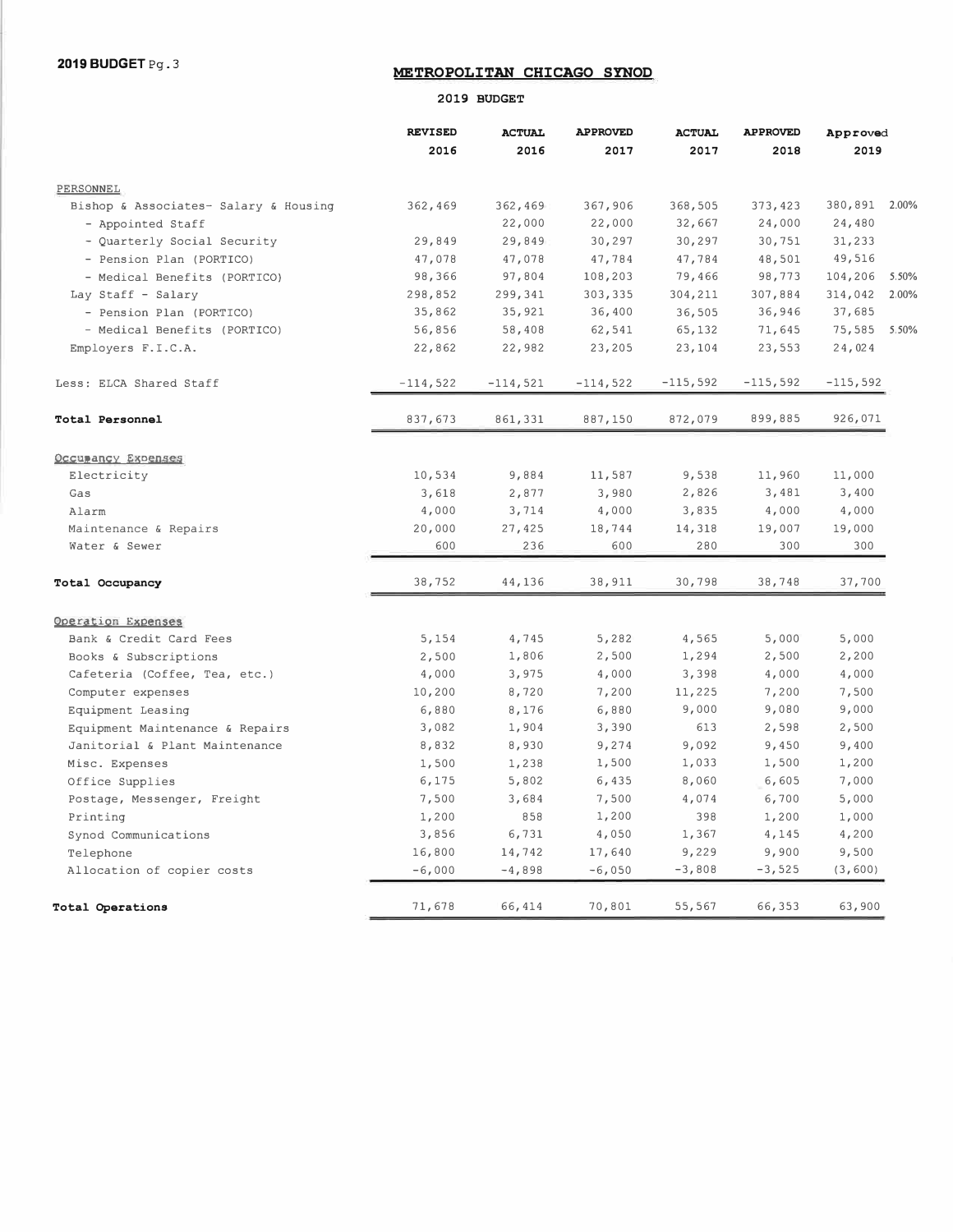## **METROPOLITAN CHICAGO SYNOD**

#### **2019 BUDGET**

|                                       | <b>REVISED</b> | <b>ACTUAL</b> | <b>APPROVED</b> | <b>ACTUAL</b>  | <b>APPROVED</b> | Approved         |  |
|---------------------------------------|----------------|---------------|-----------------|----------------|-----------------|------------------|--|
|                                       | 2016           | 2016          | 2017            | 2017           | 2018            | 2019             |  |
| PERSONNEL                             |                |               |                 |                |                 |                  |  |
| Bishop & Associates- Salary & Housing | 362,469        | 362,469       | 367,906         | 368,505        | 373,423         | 380,891 2.00%    |  |
| - Appointed Staff                     |                | 22,000        | 22,000          | 32,667         | 24,000          | 24,480           |  |
| - Quarterly Social Security           | 29,849         | 29,849        | 30,297          | 30,297         | 30,751          | 31,233           |  |
| - Pension Plan (PORTICO)              | 47,078         | 47,078        | 47,784          | 47,784         | 48,501          | 49,516           |  |
| - Medical Benefits (PORTICO)          | 98,366         | 97,804        | 108,203         | 79,466         | 98,773          | 104,206<br>5.50% |  |
| Lay Staff - Salary                    | 298,852        | 299,341       | 303,335         | 304,211        | 307,884         | 314,042<br>2.00% |  |
| - Pension Plan (PORTICO)              | 35,862         | 35,921        | 36,400          | 36,505         | 36,946          | 37,685           |  |
| - Medical Benefits (PORTICO)          | 56,856         | 58,408        | 62,541          | 65,132         | 71,645          | 75,585<br>5.50%  |  |
| Employers F.I.C.A.                    | 22,862         | 22,982        | 23,205          | 23,104         | 23,553          | 24,024           |  |
| Less: ELCA Shared Staff               | $-114,522$     | $-114,521$    | $-114,522$      | $-115,592$     | $-115,592$      | $-115,592$       |  |
| Total Personnel                       | 837,673        | 861,331       | 887,150         | 872,079        | 899,885         | 926,071          |  |
|                                       |                |               |                 |                |                 |                  |  |
| Occupancy Expenses                    |                |               |                 | 9,538          | 11,960          | 11,000           |  |
| Electricity                           | 10,534         | 9,884         | 11,587          |                |                 |                  |  |
| Gas                                   | 3,618          | 2,877         | 3,980           | 2,826<br>3,835 | 3,481<br>4,000  | 3,400<br>4,000   |  |
| Alarm                                 | 4,000          | 3,714         | 4,000           |                |                 |                  |  |
| Maintenance & Repairs                 | 20,000<br>600  | 27,425<br>236 | 18,744<br>600   | 14,318<br>280  | 19,007<br>300   | 19,000<br>300    |  |
| Water & Sewer                         |                |               |                 |                |                 |                  |  |
| Total Occupancy                       | 38,752         | 44,136        | 38,911          | 30,798         | 38,748          | 37,700           |  |
| Operation Expenses                    |                |               |                 |                |                 |                  |  |
| Bank & Credit Card Fees               | 5,154          | 4,745         | 5,282           | 4,565          | 5,000           | 5,000            |  |
| Books & Subscriptions                 | 2,500          | 1,806         | 2,500           | 1,294          | 2,500           | 2,200            |  |
| Cafeteria (Coffee, Tea, etc.)         | 4,000          | 3,975         | 4,000           | 3,398          | 4,000           | 4,000            |  |
| Computer expenses                     | 10,200         | 8,720         | 7,200           | 11,225         | 7,200           | 7,500            |  |
| Equipment Leasing                     | 6,880          | 8,176         | 6,880           | 9,000          | 9,080           | 9,000            |  |
| Equipment Maintenance & Repairs       | 3,082          | 1,904         | 3,390           | 613            | 2,598           | 2,500            |  |
| Janitorial & Plant Maintenance        | 8,832          | 8,930         | 9,274           | 9,092          | 9,450           | 9,400            |  |
| Misc. Expenses                        | 1,500          | 1,238         | 1,500           | 1,033          | 1,500           | 1,200            |  |
| Office Supplies                       | 6,175          | 5,802         | 6,435           | 8,060          | 6,605           | 7,000            |  |
| Postage, Messenger, Freight           | 7,500          | 3,684         | 7,500           | 4,074          | 6,700           | 5,000            |  |
| Printing                              | 1,200          | 858           | 1,200           | 398            | 1,200           | 1,000            |  |
| Synod Communications                  | 3,856          | 6,731         | 4,050           | 1,367          | 4,145           | 4,200            |  |
| Telephone                             | 16,800         | 14,742        | 17,640          | 9,229          | 9,900           | 9,500            |  |
| Allocation of copier costs            | $-6,000$       | $-4,898$      | $-6,050$        | $-3,808$       | $-3,525$        | (3, 600)         |  |
| Total Operations                      | 71,678         | 66,414        | 70,801          | 55,567         | 66,353          | 63,900           |  |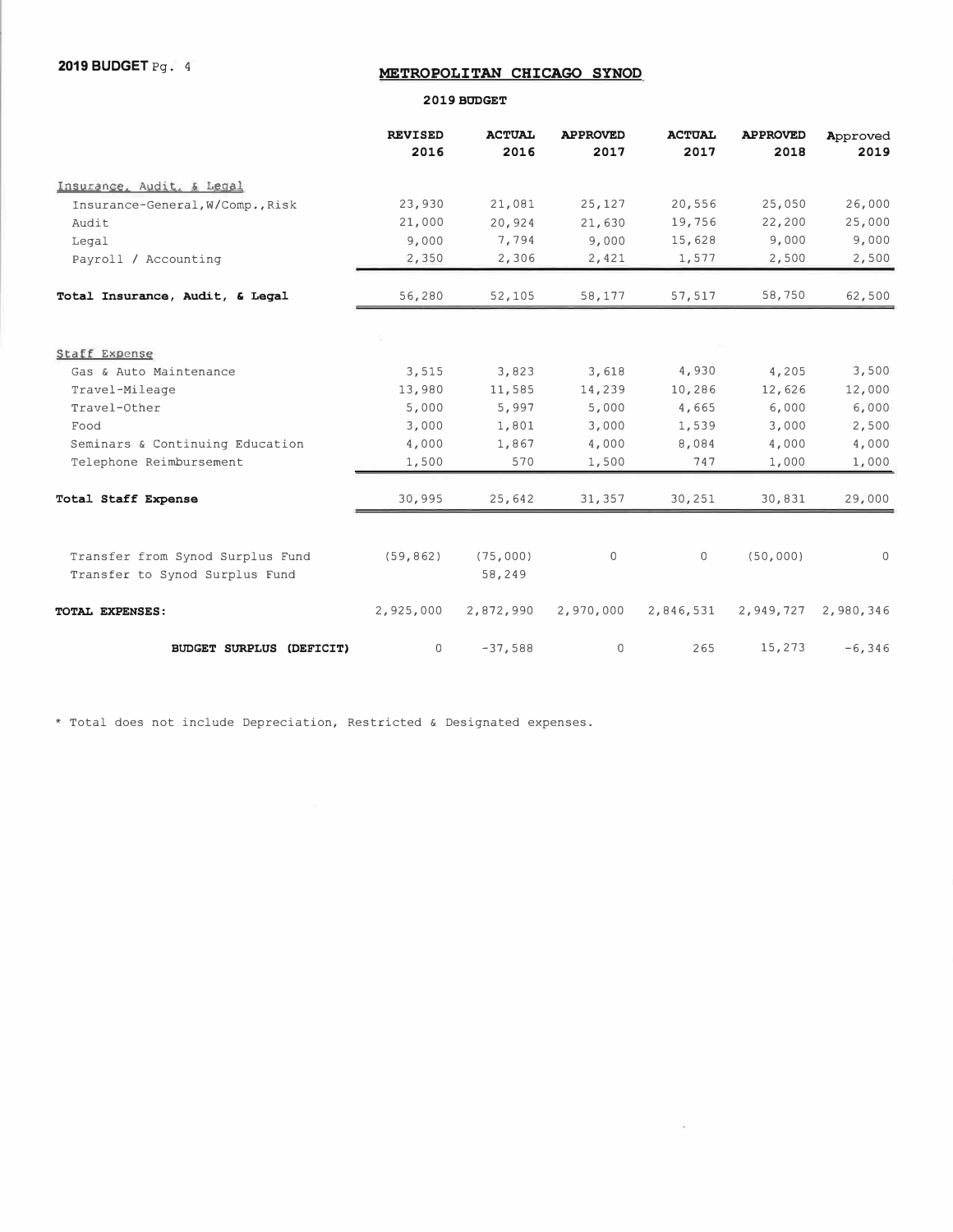**2019 BUDGET Pg. 4** 

## **METROPOLITAN CHICAGO SYNOD**

**2019 BUDGET** 

|                                  | <b>REVISED</b><br>2016 | <b>ACTUAL</b><br>2016 | <b>APPROVED</b><br>2017 | <b>ACTUAL</b><br>2017 | <b>APPROVED</b><br>2018 | Approved<br>2019 |
|----------------------------------|------------------------|-----------------------|-------------------------|-----------------------|-------------------------|------------------|
| Insurance, Audit, & Legal        |                        |                       |                         |                       |                         |                  |
| Insurance-General, W/Comp., Risk | 23,930                 | 21,081                | 25,127                  | 20,556                | 25,050                  | 26,000           |
| Audit                            | 21,000                 | 20,924                | 21,630                  | 19,756                | 22,200                  | 25,000           |
| Legal                            | 9,000                  | 7,794                 | 9,000                   | 15,628                | 9,000                   | 9,000            |
| Payroll / Accounting             | 2,350                  | 2,306                 | 2,421                   | 1,577                 | 2,500                   | 2,500            |
| Total Insurance, Audit, & Legal  | 56,280                 | 52,105                | 58,177                  | 57,517                | 58,750                  | 62,500           |
|                                  |                        |                       |                         |                       |                         |                  |
| <b>Staff Expense</b>             |                        |                       |                         |                       |                         |                  |
| Gas & Auto Maintenance           | 3,515                  | 3,823                 | 3,618                   | 4,930                 | 4,205                   | 3,500            |
| Travel-Mileage                   | 13,980                 | 11,585                | 14,239                  | 10,286                | 12,626                  | 12,000           |
| Travel-Other                     | 5,000                  | 5,997                 | 5,000                   | 4,665                 | 6,000                   | 6,000            |
| Food                             | 3,000                  | 1,801                 | 3,000                   | 1,539                 | 3,000                   | 2,500            |
| Seminars & Continuing Education  | 4,000                  | 1,867                 | 4,000                   | 8,084                 | 4,000                   | 4,000            |
| Telephone Reimbursement          | 1,500                  | 570                   | 1,500                   | 747                   | 1,000                   | 1,000            |
| Total Staff Expense              | 30,995                 | 25,642                | 31,357                  | 30,251                | 30,831                  | 29,000           |
|                                  |                        |                       |                         |                       |                         |                  |
| Transfer from Synod Surplus Fund | (59, 862)              | (75,000)              | $\mathbf 0$             | $\mathbf 0$           | (50,000)                | $\Omega$         |
| Transfer to Synod Surplus Fund   |                        | 58,249                |                         |                       |                         |                  |
| TOTAL EXPENSES:                  | 2,925,000              | 2,872,990             | 2,970,000               | 2,846,531             | 2,949,727               | 2,980,346        |
| <b>BUDGET SURPLUS (DEFICIT)</b>  | 0                      | $-37,588$             | $\mathbf 0$             | 265                   | 15,273                  | $-6, 346$        |

\* Total does not include Depreciation, Restricted & Designated expenses.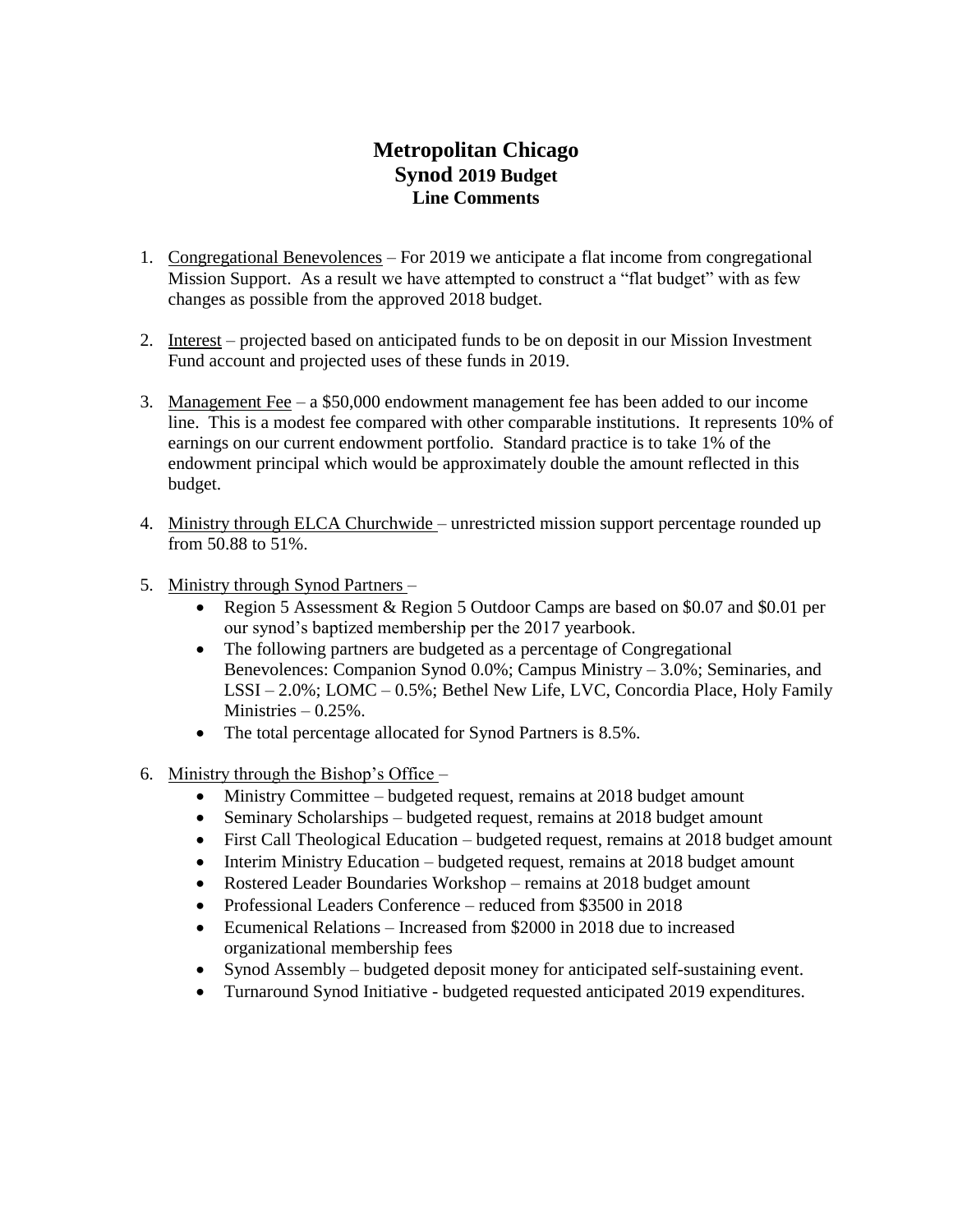# **Metropolitan Chicago Synod 2019 Budget Line Comments**

- 1. Congregational Benevolences For 2019 we anticipate a flat income from congregational Mission Support. As a result we have attempted to construct a "flat budget" with as few changes as possible from the approved 2018 budget.
- 2. Interest projected based on anticipated funds to be on deposit in our Mission Investment Fund account and projected uses of these funds in 2019.
- 3. Management Fee a \$50,000 endowment management fee has been added to our income line. This is a modest fee compared with other comparable institutions. It represents 10% of earnings on our current endowment portfolio. Standard practice is to take 1% of the endowment principal which would be approximately double the amount reflected in this budget.
- 4. Ministry through ELCA Churchwide unrestricted mission support percentage rounded up from 50.88 to 51%.
- 5. Ministry through Synod Partners
	- Region 5 Assessment & Region 5 Outdoor Camps are based on \$0.07 and \$0.01 per our synod's baptized membership per the 2017 yearbook.
	- The following partners are budgeted as a percentage of Congregational Benevolences: Companion Synod 0.0%; Campus Ministry – 3.0%; Seminaries, and LSSI – 2.0%; LOMC – 0.5%; Bethel New Life, LVC, Concordia Place, Holy Family Ministries  $-0.25%$ .
	- The total percentage allocated for Synod Partners is 8.5%.
- 6. Ministry through the Bishop's Office  $-$ 
	- Ministry Committee budgeted request, remains at 2018 budget amount
	- Seminary Scholarships budgeted request, remains at 2018 budget amount
	- First Call Theological Education budgeted request, remains at 2018 budget amount
	- Interim Ministry Education budgeted request, remains at 2018 budget amount
	- Rostered Leader Boundaries Workshop remains at 2018 budget amount
	- Professional Leaders Conference reduced from \$3500 in 2018
	- Ecumenical Relations Increased from \$2000 in 2018 due to increased organizational membership fees
	- Synod Assembly budgeted deposit money for anticipated self-sustaining event.
	- Turnaround Synod Initiative budgeted requested anticipated 2019 expenditures.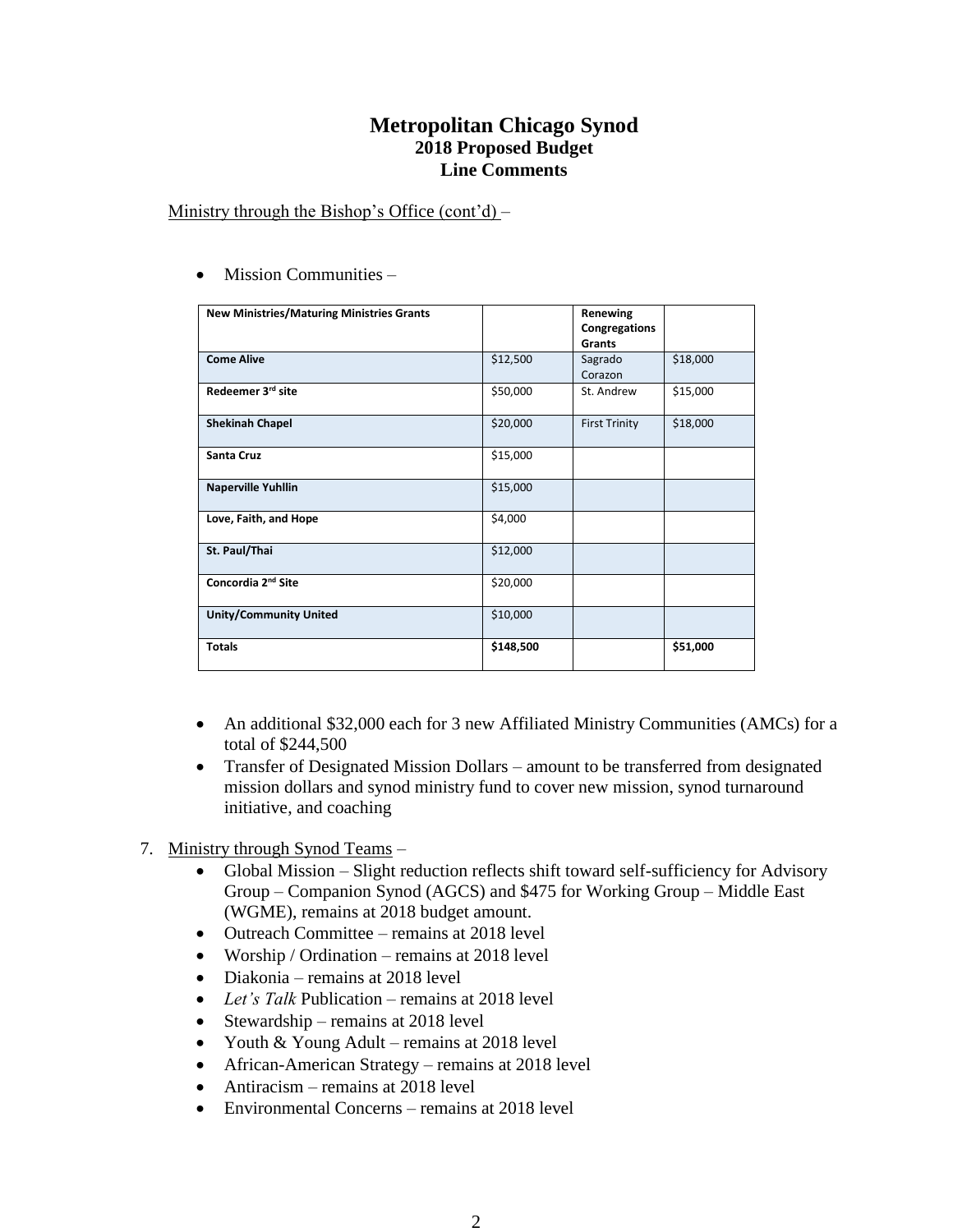## **Metropolitan Chicago Synod 2018 Proposed Budget Line Comments**

Ministry through the Bishop's Office  $(cont'd)$  –

| <b>New Ministries/Maturing Ministries Grants</b> |           | Renewing<br>Congregations<br>Grants |          |
|--------------------------------------------------|-----------|-------------------------------------|----------|
| <b>Come Alive</b>                                | \$12,500  | Sagrado<br>Corazon                  | \$18,000 |
| Redeemer 3rd site                                | \$50,000  | St. Andrew                          | \$15,000 |
| <b>Shekinah Chapel</b>                           | \$20,000  | <b>First Trinity</b>                | \$18,000 |
| Santa Cruz                                       | \$15,000  |                                     |          |
| <b>Naperville Yuhllin</b>                        | \$15,000  |                                     |          |
| Love, Faith, and Hope                            | \$4,000   |                                     |          |
| St. Paul/Thai                                    | \$12,000  |                                     |          |
| Concordia 2 <sup>nd</sup> Site                   | \$20,000  |                                     |          |
| <b>Unity/Community United</b>                    | \$10,000  |                                     |          |
| <b>Totals</b>                                    | \$148,500 |                                     | \$51,000 |

• Mission Communities –

- An additional \$32,000 each for 3 new Affiliated Ministry Communities (AMCs) for a total of \$244,500
- Transfer of Designated Mission Dollars amount to be transferred from designated mission dollars and synod ministry fund to cover new mission, synod turnaround initiative, and coaching

## 7. Ministry through Synod Teams –

- Global Mission Slight reduction reflects shift toward self-sufficiency for Advisory Group – Companion Synod (AGCS) and \$475 for Working Group – Middle East (WGME), remains at 2018 budget amount.
- Outreach Committee remains at 2018 level
- Worship / Ordination remains at 2018 level
- Diakonia remains at 2018 level
- *Let's Talk* Publication remains at 2018 level
- Stewardship remains at 2018 level
- Youth & Young Adult remains at 2018 level
- African-American Strategy remains at 2018 level
- Antiracism remains at 2018 level
- Environmental Concerns remains at 2018 level